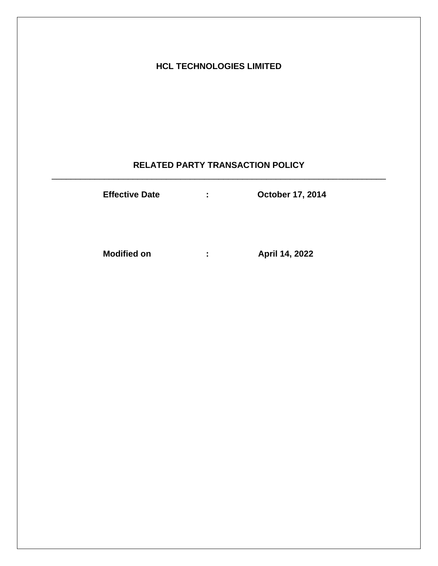# **HCL TECHNOLOGIES LIMITED**

## **RELATED PARTY TRANSACTION POLICY** \_\_\_\_\_\_\_\_\_\_\_\_\_\_\_\_\_\_\_\_\_\_\_\_\_\_\_\_\_\_\_\_\_\_\_\_\_\_\_\_\_\_\_\_\_\_\_\_\_\_\_\_\_\_\_\_\_\_\_\_\_\_\_\_\_\_\_\_\_\_

| <b>Effective Date</b> | ÷ | <b>October 17, 2014</b> |
|-----------------------|---|-------------------------|
| <b>Modified on</b>    | ÷ | April 14, 2022          |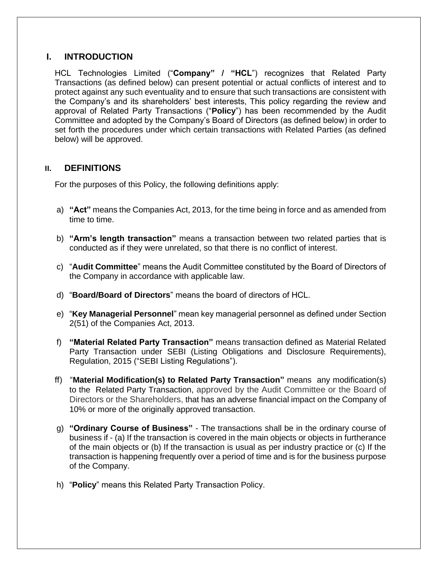## **I. INTRODUCTION**

HCL Technologies Limited ("**Company" / "HCL**") recognizes that Related Party Transactions (as defined below) can present potential or actual conflicts of interest and to protect against any such eventuality and to ensure that such transactions are consistent with the Company's and its shareholders' best interests, This policy regarding the review and approval of Related Party Transactions ("**Policy**") has been recommended by the Audit Committee and adopted by the Company's Board of Directors (as defined below) in order to set forth the procedures under which certain transactions with Related Parties (as defined below) will be approved.

## **II. DEFINITIONS**

For the purposes of this Policy, the following definitions apply:

- a) **"Act"** means the Companies Act, 2013, for the time being in force and as amended from time to time.
- b) **"Arm's length transaction"** means a transaction between two related parties that is conducted as if they were unrelated, so that there is no conflict of interest.
- c) "**Audit Committee**" means the Audit Committee constituted by the Board of Directors of the Company in accordance with applicable law.
- d) "**Board/Board of Directors**" means the board of directors of HCL.
- e) "**Key Managerial Personnel**" mean key managerial personnel as defined under Section 2(51) of the Companies Act, 2013.
- f) **"Material Related Party Transaction"** means transaction defined as Material Related Party Transaction under SEBI (Listing Obligations and Disclosure Requirements), Regulation, 2015 ("SEBI Listing Regulations").
- ff) "**Material Modification(s) to Related Party Transaction"** means any modification(s) to the Related Party Transaction, approved by the Audit Committee or the Board of Directors or the Shareholders, that has an adverse financial impact on the Company of 10% or more of the originally approved transaction.
- g) **"Ordinary Course of Business"**  The transactions shall be in the ordinary course of business if - (a) If the transaction is covered in the main objects or objects in furtherance of the main objects or (b) If the transaction is usual as per industry practice or (c) If the transaction is happening frequently over a period of time and is for the business purpose of the Company.
- h) "**Policy**" means this Related Party Transaction Policy.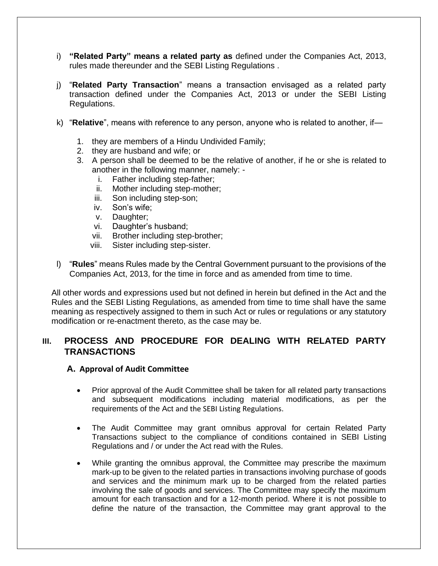- i) **"Related Party" means a related party as** defined under the Companies Act, 2013, rules made thereunder and the SEBI Listing Regulations .
- j) "**Related Party Transaction**" means a transaction envisaged as a related party transaction defined under the Companies Act, 2013 or under the SEBI Listing Regulations.
- k) "**Relative**", means with reference to any person, anyone who is related to another, if—
	- 1. they are members of a Hindu Undivided Family;
	- 2. they are husband and wife; or
	- 3. A person shall be deemed to be the relative of another, if he or she is related to another in the following manner, namely:
		- i. Father including step-father;
		- ii. Mother including step-mother;
		- iii. Son including step-son;
		- iv. Son's wife;
		- v. Daughter;
		- vi. Daughter's husband;
		- vii. Brother including step-brother;
		- viii. Sister including step-sister.
- l) "**Rules**" means Rules made by the Central Government pursuant to the provisions of the Companies Act, 2013, for the time in force and as amended from time to time.

All other words and expressions used but not defined in herein but defined in the Act and the Rules and the SEBI Listing Regulations, as amended from time to time shall have the same meaning as respectively assigned to them in such Act or rules or regulations or any statutory modification or re-enactment thereto, as the case may be.

## **III. PROCESS AND PROCEDURE FOR DEALING WITH RELATED PARTY TRANSACTIONS**

#### **A. Approval of Audit Committee**

- Prior approval of the Audit Committee shall be taken for all related party transactions and subsequent modifications including material modifications, as per the requirements of the Act and the SEBI Listing Regulations.
- The Audit Committee may grant omnibus approval for certain Related Party Transactions subject to the compliance of conditions contained in SEBI Listing Regulations and / or under the Act read with the Rules.
- While granting the omnibus approval, the Committee may prescribe the maximum mark-up to be given to the related parties in transactions involving purchase of goods and services and the minimum mark up to be charged from the related parties involving the sale of goods and services. The Committee may specify the maximum amount for each transaction and for a 12-month period. Where it is not possible to define the nature of the transaction, the Committee may grant approval to the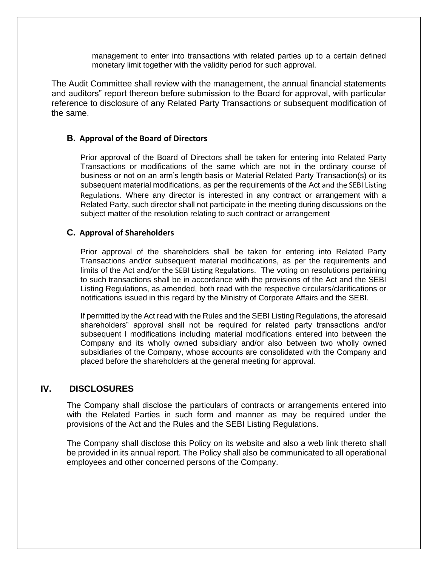management to enter into transactions with related parties up to a certain defined monetary limit together with the validity period for such approval.

The Audit Committee shall review with the management, the annual financial statements and auditors" report thereon before submission to the Board for approval, with particular reference to disclosure of any Related Party Transactions or subsequent modification of the same.

#### **B. Approval of the Board of Directors**

Prior approval of the Board of Directors shall be taken for entering into Related Party Transactions or modifications of the same which are not in the ordinary course of business or not on an arm's length basis or Material Related Party Transaction(s) or its subsequent material modifications, as per the requirements of the Act and the SEBI Listing Regulations. Where any director is interested in any contract or arrangement with a Related Party, such director shall not participate in the meeting during discussions on the subject matter of the resolution relating to such contract or arrangement

#### **C. Approval of Shareholders**

Prior approval of the shareholders shall be taken for entering into Related Party Transactions and/or subsequent material modifications, as per the requirements and limits of the Act and/or the SEBI Listing Regulations. The voting on resolutions pertaining to such transactions shall be in accordance with the provisions of the Act and the SEBI Listing Regulations, as amended, both read with the respective circulars/clarifications or notifications issued in this regard by the Ministry of Corporate Affairs and the SEBI.

If permitted by the Act read with the Rules and the SEBI Listing Regulations, the aforesaid shareholders" approval shall not be required for related party transactions and/or subsequent l modifications including material modifications entered into between the Company and its wholly owned subsidiary and/or also between two wholly owned subsidiaries of the Company, whose accounts are consolidated with the Company and placed before the shareholders at the general meeting for approval.

#### **IV. DISCLOSURES**

The Company shall disclose the particulars of contracts or arrangements entered into with the Related Parties in such form and manner as may be required under the provisions of the Act and the Rules and the SEBI Listing Regulations.

The Company shall disclose this Policy on its website and also a web link thereto shall be provided in its annual report. The Policy shall also be communicated to all operational employees and other concerned persons of the Company.